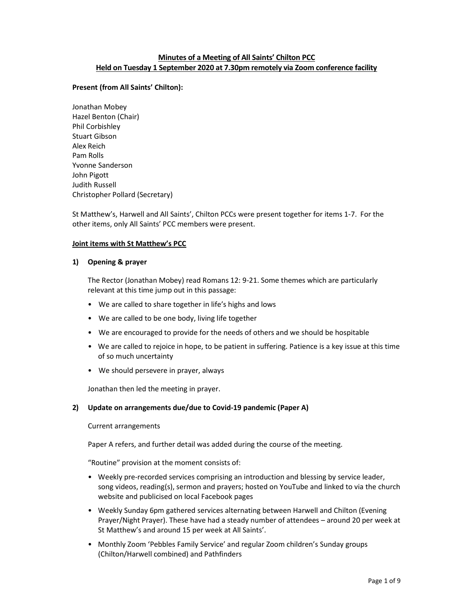# Minutes of a Meeting of All Saints' Chilton PCC Held on Tuesday 1 September 2020 at 7.30pm remotely via Zoom conference facility

## Present (from All Saints' Chilton):

Jonathan Mobey Hazel Benton (Chair) Phil Corbishley Stuart Gibson Alex Reich Pam Rolls Yvonne Sanderson John Pigott Judith Russell Christopher Pollard (Secretary)

St Matthew's, Harwell and All Saints', Chilton PCCs were present together for items 1-7. For the other items, only All Saints' PCC members were present.

## Joint items with St Matthew's PCC

## 1) Opening & prayer

The Rector (Jonathan Mobey) read Romans 12: 9-21. Some themes which are particularly relevant at this time jump out in this passage:

- We are called to share together in life's highs and lows
- We are called to be one body, living life together
- We are encouraged to provide for the needs of others and we should be hospitable
- We are called to rejoice in hope, to be patient in suffering. Patience is a key issue at this time of so much uncertainty
- We should persevere in prayer, always

Jonathan then led the meeting in prayer.

## 2) Update on arrangements due/due to Covid-19 pandemic (Paper A)

Current arrangements

Paper A refers, and further detail was added during the course of the meeting.

"Routine" provision at the moment consists of:

- Weekly pre-recorded services comprising an introduction and blessing by service leader, song videos, reading(s), sermon and prayers; hosted on YouTube and linked to via the church website and publicised on local Facebook pages
- Weekly Sunday 6pm gathered services alternating between Harwell and Chilton (Evening Prayer/Night Prayer). These have had a steady number of attendees – around 20 per week at St Matthew's and around 15 per week at All Saints'.
- Monthly Zoom 'Pebbles Family Service' and regular Zoom children's Sunday groups (Chilton/Harwell combined) and Pathfinders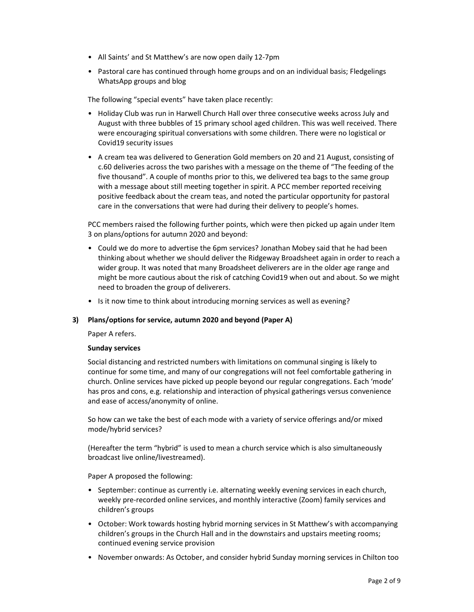- All Saints' and St Matthew's are now open daily 12-7pm
- Pastoral care has continued through home groups and on an individual basis; Fledgelings WhatsApp groups and blog

The following "special events" have taken place recently:

- Holiday Club was run in Harwell Church Hall over three consecutive weeks across July and August with three bubbles of 15 primary school aged children. This was well received. There were encouraging spiritual conversations with some children. There were no logistical or Covid19 security issues
- A cream tea was delivered to Generation Gold members on 20 and 21 August, consisting of c.60 deliveries across the two parishes with a message on the theme of "The feeding of the five thousand". A couple of months prior to this, we delivered tea bags to the same group with a message about still meeting together in spirit. A PCC member reported receiving positive feedback about the cream teas, and noted the particular opportunity for pastoral care in the conversations that were had during their delivery to people's homes.

PCC members raised the following further points, which were then picked up again under Item 3 on plans/options for autumn 2020 and beyond:

- Could we do more to advertise the 6pm services? Jonathan Mobey said that he had been thinking about whether we should deliver the Ridgeway Broadsheet again in order to reach a wider group. It was noted that many Broadsheet deliverers are in the older age range and might be more cautious about the risk of catching Covid19 when out and about. So we might need to broaden the group of deliverers.
- Is it now time to think about introducing morning services as well as evening?

## 3) Plans/options for service, autumn 2020 and beyond (Paper A)

Paper A refers.

## Sunday services

Social distancing and restricted numbers with limitations on communal singing is likely to continue for some time, and many of our congregations will not feel comfortable gathering in church. Online services have picked up people beyond our regular congregations. Each 'mode' has pros and cons, e.g. relationship and interaction of physical gatherings versus convenience and ease of access/anonymity of online.

So how can we take the best of each mode with a variety of service offerings and/or mixed mode/hybrid services?

(Hereafter the term "hybrid" is used to mean a church service which is also simultaneously broadcast live online/livestreamed).

Paper A proposed the following:

- September: continue as currently i.e. alternating weekly evening services in each church, weekly pre-recorded online services, and monthly interactive (Zoom) family services and children's groups
- October: Work towards hosting hybrid morning services in St Matthew's with accompanying children's groups in the Church Hall and in the downstairs and upstairs meeting rooms; continued evening service provision
- November onwards: As October, and consider hybrid Sunday morning services in Chilton too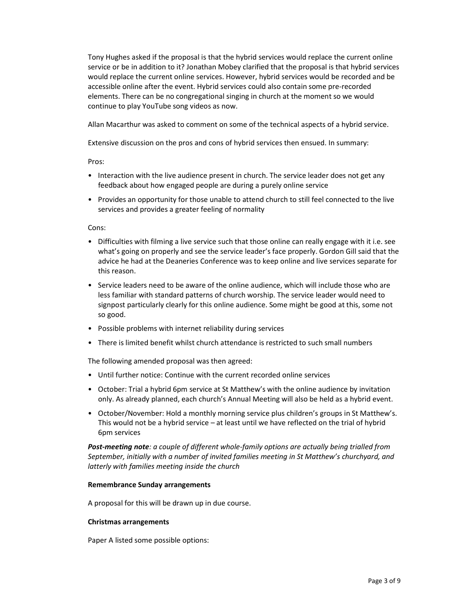Tony Hughes asked if the proposal is that the hybrid services would replace the current online service or be in addition to it? Jonathan Mobey clarified that the proposal is that hybrid services would replace the current online services. However, hybrid services would be recorded and be accessible online after the event. Hybrid services could also contain some pre-recorded elements. There can be no congregational singing in church at the moment so we would continue to play YouTube song videos as now.

Allan Macarthur was asked to comment on some of the technical aspects of a hybrid service.

Extensive discussion on the pros and cons of hybrid services then ensued. In summary:

Pros:

- Interaction with the live audience present in church. The service leader does not get any feedback about how engaged people are during a purely online service
- Provides an opportunity for those unable to attend church to still feel connected to the live services and provides a greater feeling of normality

Cons:

- Difficulties with filming a live service such that those online can really engage with it i.e. see what's going on properly and see the service leader's face properly. Gordon Gill said that the advice he had at the Deaneries Conference was to keep online and live services separate for this reason.
- Service leaders need to be aware of the online audience, which will include those who are less familiar with standard patterns of church worship. The service leader would need to signpost particularly clearly for this online audience. Some might be good at this, some not so good.
- Possible problems with internet reliability during services
- There is limited benefit whilst church attendance is restricted to such small numbers

The following amended proposal was then agreed:

- Until further notice: Continue with the current recorded online services
- October: Trial a hybrid 6pm service at St Matthew's with the online audience by invitation only. As already planned, each church's Annual Meeting will also be held as a hybrid event.
- October/November: Hold a monthly morning service plus children's groups in St Matthew's. This would not be a hybrid service – at least until we have reflected on the trial of hybrid 6pm services

Post-meeting note: a couple of different whole-family options are actually being trialled from September, initially with a number of invited families meeting in St Matthew's churchyard, and latterly with families meeting inside the church

#### Remembrance Sunday arrangements

A proposal for this will be drawn up in due course.

#### Christmas arrangements

Paper A listed some possible options: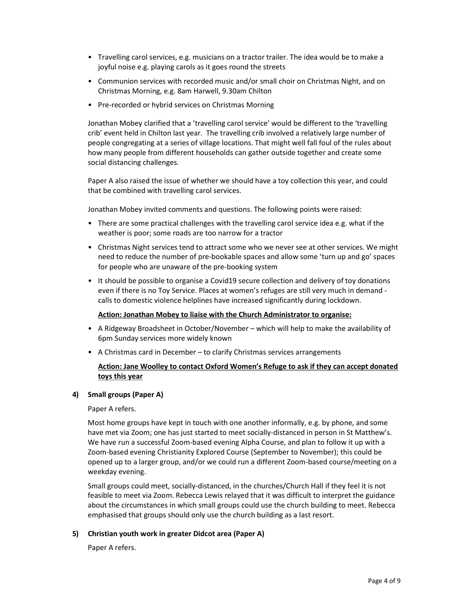- Travelling carol services, e.g. musicians on a tractor trailer. The idea would be to make a joyful noise e.g. playing carols as it goes round the streets
- Communion services with recorded music and/or small choir on Christmas Night, and on Christmas Morning, e.g. 8am Harwell, 9.30am Chilton
- Pre-recorded or hybrid services on Christmas Morning

Jonathan Mobey clarified that a 'travelling carol service' would be different to the 'travelling crib' event held in Chilton last year. The travelling crib involved a relatively large number of people congregating at a series of village locations. That might well fall foul of the rules about how many people from different households can gather outside together and create some social distancing challenges.

Paper A also raised the issue of whether we should have a toy collection this year, and could that be combined with travelling carol services.

Jonathan Mobey invited comments and questions. The following points were raised:

- There are some practical challenges with the travelling carol service idea e.g. what if the weather is poor; some roads are too narrow for a tractor
- Christmas Night services tend to attract some who we never see at other services. We might need to reduce the number of pre-bookable spaces and allow some 'turn up and go' spaces for people who are unaware of the pre-booking system
- It should be possible to organise a Covid19 secure collection and delivery of toy donations even if there is no Toy Service. Places at women's refuges are still very much in demand calls to domestic violence helplines have increased significantly during lockdown.

## Action: Jonathan Mobey to liaise with the Church Administrator to organise:

- A Ridgeway Broadsheet in October/November which will help to make the availability of 6pm Sunday services more widely known
- A Christmas card in December to clarify Christmas services arrangements

# Action: Jane Woolley to contact Oxford Women's Refuge to ask if they can accept donated toys this year

## 4) Small groups (Paper A)

Paper A refers.

Most home groups have kept in touch with one another informally, e.g. by phone, and some have met via Zoom; one has just started to meet socially-distanced in person in St Matthew's. We have run a successful Zoom-based evening Alpha Course, and plan to follow it up with a Zoom-based evening Christianity Explored Course (September to November); this could be opened up to a larger group, and/or we could run a different Zoom-based course/meeting on a weekday evening.

Small groups could meet, socially-distanced, in the churches/Church Hall if they feel it is not feasible to meet via Zoom. Rebecca Lewis relayed that it was difficult to interpret the guidance about the circumstances in which small groups could use the church building to meet. Rebecca emphasised that groups should only use the church building as a last resort.

## 5) Christian youth work in greater Didcot area (Paper A)

Paper A refers.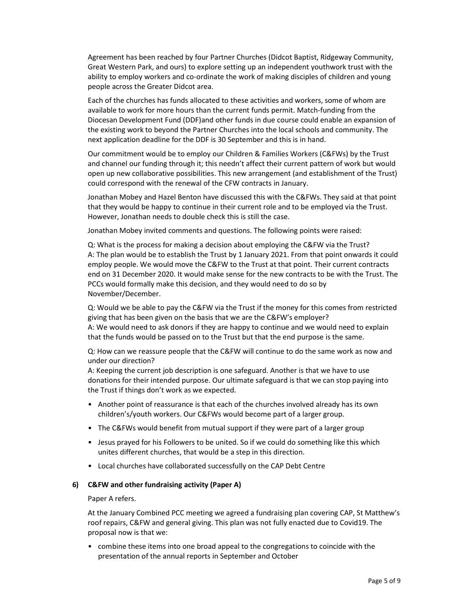Agreement has been reached by four Partner Churches (Didcot Baptist, Ridgeway Community, Great Western Park, and ours) to explore setting up an independent youthwork trust with the ability to employ workers and co-ordinate the work of making disciples of children and young people across the Greater Didcot area.

Each of the churches has funds allocated to these activities and workers, some of whom are available to work for more hours than the current funds permit. Match-funding from the Diocesan Development Fund (DDF)and other funds in due course could enable an expansion of the existing work to beyond the Partner Churches into the local schools and community. The next application deadline for the DDF is 30 September and this is in hand.

Our commitment would be to employ our Children & Families Workers (C&FWs) by the Trust and channel our funding through it; this needn't affect their current pattern of work but would open up new collaborative possibilities. This new arrangement (and establishment of the Trust) could correspond with the renewal of the CFW contracts in January.

Jonathan Mobey and Hazel Benton have discussed this with the C&FWs. They said at that point that they would be happy to continue in their current role and to be employed via the Trust. However, Jonathan needs to double check this is still the case.

Jonathan Mobey invited comments and questions. The following points were raised:

Q: What is the process for making a decision about employing the C&FW via the Trust? A: The plan would be to establish the Trust by 1 January 2021. From that point onwards it could employ people. We would move the C&FW to the Trust at that point. Their current contracts end on 31 December 2020. It would make sense for the new contracts to be with the Trust. The PCCs would formally make this decision, and they would need to do so by November/December.

Q: Would we be able to pay the C&FW via the Trust if the money for this comes from restricted giving that has been given on the basis that we are the C&FW's employer? A: We would need to ask donors if they are happy to continue and we would need to explain that the funds would be passed on to the Trust but that the end purpose is the same.

Q: How can we reassure people that the C&FW will continue to do the same work as now and under our direction?

A: Keeping the current job description is one safeguard. Another is that we have to use donations for their intended purpose. Our ultimate safeguard is that we can stop paying into the Trust if things don't work as we expected.

- Another point of reassurance is that each of the churches involved already has its own children's/youth workers. Our C&FWs would become part of a larger group.
- The C&FWs would benefit from mutual support if they were part of a larger group
- Jesus prayed for his Followers to be united. So if we could do something like this which unites different churches, that would be a step in this direction.
- Local churches have collaborated successfully on the CAP Debt Centre

## 6) C&FW and other fundraising activity (Paper A)

## Paper A refers.

At the January Combined PCC meeting we agreed a fundraising plan covering CAP, St Matthew's roof repairs, C&FW and general giving. This plan was not fully enacted due to Covid19. The proposal now is that we:

• combine these items into one broad appeal to the congregations to coincide with the presentation of the annual reports in September and October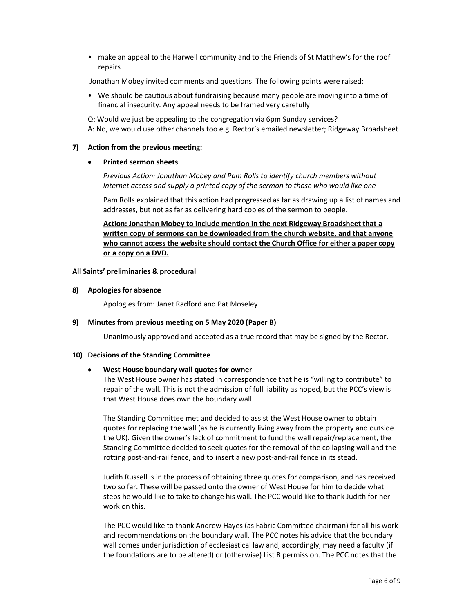• make an appeal to the Harwell community and to the Friends of St Matthew's for the roof repairs

Jonathan Mobey invited comments and questions. The following points were raised:

• We should be cautious about fundraising because many people are moving into a time of financial insecurity. Any appeal needs to be framed very carefully

Q: Would we just be appealing to the congregation via 6pm Sunday services? A: No, we would use other channels too e.g. Rector's emailed newsletter; Ridgeway Broadsheet

#### 7) Action from the previous meeting:

Printed sermon sheets

Previous Action: Jonathan Mobey and Pam Rolls to identify church members without internet access and supply a printed copy of the sermon to those who would like one

Pam Rolls explained that this action had progressed as far as drawing up a list of names and addresses, but not as far as delivering hard copies of the sermon to people.

Action: Jonathan Mobey to include mention in the next Ridgeway Broadsheet that a written copy of sermons can be downloaded from the church website, and that anyone who cannot access the website should contact the Church Office for either a paper copy or a copy on a DVD.

#### All Saints' preliminaries & procedural

#### 8) Apologies for absence

Apologies from: Janet Radford and Pat Moseley

## 9) Minutes from previous meeting on 5 May 2020 (Paper B)

Unanimously approved and accepted as a true record that may be signed by the Rector.

#### 10) Decisions of the Standing Committee

## West House boundary wall quotes for owner

The West House owner has stated in correspondence that he is "willing to contribute" to repair of the wall. This is not the admission of full liability as hoped, but the PCC's view is that West House does own the boundary wall.

The Standing Committee met and decided to assist the West House owner to obtain quotes for replacing the wall (as he is currently living away from the property and outside the UK). Given the owner's lack of commitment to fund the wall repair/replacement, the Standing Committee decided to seek quotes for the removal of the collapsing wall and the rotting post-and-rail fence, and to insert a new post-and-rail fence in its stead.

Judith Russell is in the process of obtaining three quotes for comparison, and has received two so far. These will be passed onto the owner of West House for him to decide what steps he would like to take to change his wall. The PCC would like to thank Judith for her work on this.

The PCC would like to thank Andrew Hayes (as Fabric Committee chairman) for all his work and recommendations on the boundary wall. The PCC notes his advice that the boundary wall comes under jurisdiction of ecclesiastical law and, accordingly, may need a faculty (if the foundations are to be altered) or (otherwise) List B permission. The PCC notes that the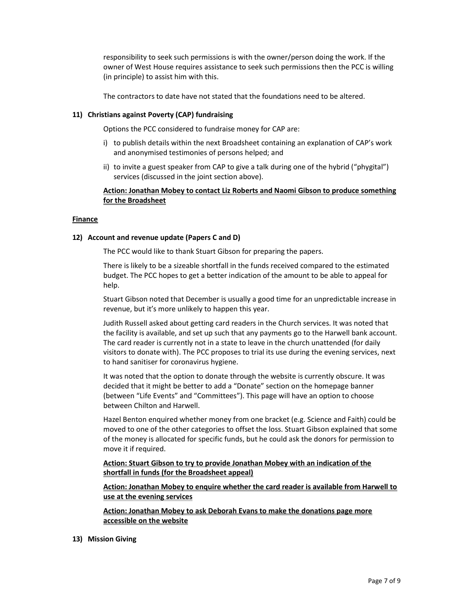responsibility to seek such permissions is with the owner/person doing the work. If the owner of West House requires assistance to seek such permissions then the PCC is willing (in principle) to assist him with this.

The contractors to date have not stated that the foundations need to be altered.

#### 11) Christians against Poverty (CAP) fundraising

Options the PCC considered to fundraise money for CAP are:

- i) to publish details within the next Broadsheet containing an explanation of CAP's work and anonymised testimonies of persons helped; and
- ii) to invite a guest speaker from CAP to give a talk during one of the hybrid ("phygital") services (discussed in the joint section above).

# Action: Jonathan Mobey to contact Liz Roberts and Naomi Gibson to produce something for the Broadsheet

#### Finance

#### 12) Account and revenue update (Papers C and D)

The PCC would like to thank Stuart Gibson for preparing the papers.

There is likely to be a sizeable shortfall in the funds received compared to the estimated budget. The PCC hopes to get a better indication of the amount to be able to appeal for help.

Stuart Gibson noted that December is usually a good time for an unpredictable increase in revenue, but it's more unlikely to happen this year.

Judith Russell asked about getting card readers in the Church services. It was noted that the facility is available, and set up such that any payments go to the Harwell bank account. The card reader is currently not in a state to leave in the church unattended (for daily visitors to donate with). The PCC proposes to trial its use during the evening services, next to hand sanitiser for coronavirus hygiene.

It was noted that the option to donate through the website is currently obscure. It was decided that it might be better to add a "Donate" section on the homepage banner (between "Life Events" and "Committees"). This page will have an option to choose between Chilton and Harwell.

Hazel Benton enquired whether money from one bracket (e.g. Science and Faith) could be moved to one of the other categories to offset the loss. Stuart Gibson explained that some of the money is allocated for specific funds, but he could ask the donors for permission to move it if required.

Action: Stuart Gibson to try to provide Jonathan Mobey with an indication of the shortfall in funds (for the Broadsheet appeal)

Action: Jonathan Mobey to enquire whether the card reader is available from Harwell to use at the evening services

Action: Jonathan Mobey to ask Deborah Evans to make the donations page more accessible on the website

13) Mission Giving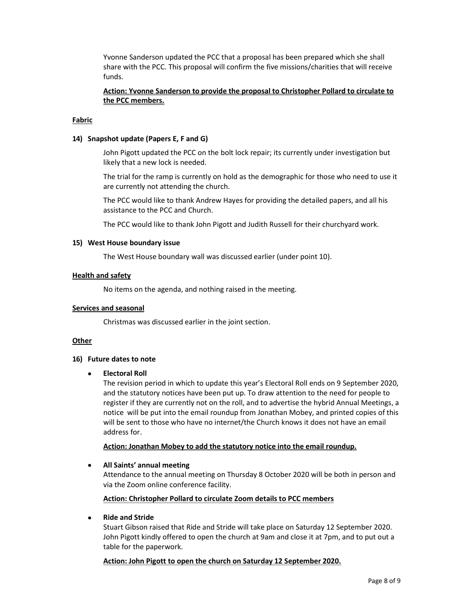Yvonne Sanderson updated the PCC that a proposal has been prepared which she shall share with the PCC. This proposal will confirm the five missions/charities that will receive funds.

# Action: Yvonne Sanderson to provide the proposal to Christopher Pollard to circulate to the PCC members.

## Fabric

#### 14) Snapshot update (Papers E, F and G)

John Pigott updated the PCC on the bolt lock repair; its currently under investigation but likely that a new lock is needed.

The trial for the ramp is currently on hold as the demographic for those who need to use it are currently not attending the church.

The PCC would like to thank Andrew Hayes for providing the detailed papers, and all his assistance to the PCC and Church.

The PCC would like to thank John Pigott and Judith Russell for their churchyard work.

#### 15) West House boundary issue

The West House boundary wall was discussed earlier (under point 10).

#### Health and safety

No items on the agenda, and nothing raised in the meeting.

#### Services and seasonal

Christmas was discussed earlier in the joint section.

#### **Other**

#### 16) Future dates to note

#### Electoral Roll

The revision period in which to update this year's Electoral Roll ends on 9 September 2020, and the statutory notices have been put up. To draw attention to the need for people to register if they are currently not on the roll, and to advertise the hybrid Annual Meetings, a notice will be put into the email roundup from Jonathan Mobey, and printed copies of this will be sent to those who have no internet/the Church knows it does not have an email address for.

Action: Jonathan Mobey to add the statutory notice into the email roundup.

## All Saints' annual meeting

Attendance to the annual meeting on Thursday 8 October 2020 will be both in person and via the Zoom online conference facility.

Action: Christopher Pollard to circulate Zoom details to PCC members

## Ride and Stride

Stuart Gibson raised that Ride and Stride will take place on Saturday 12 September 2020. John Pigott kindly offered to open the church at 9am and close it at 7pm, and to put out a table for the paperwork.

Action: John Pigott to open the church on Saturday 12 September 2020.